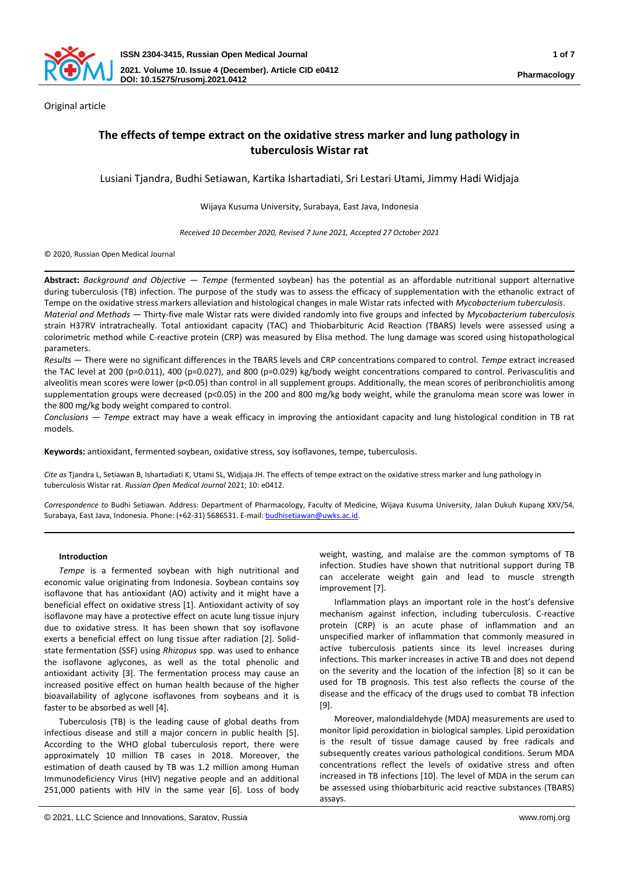

Original article

# **The effects of tempe extract on the oxidative stress marker and lung pathology in tuberculosis Wistar rat**

Lusiani Tjandra, Budhi Setiawan, Kartika Ishartadiati, Sri Lestari Utami, Jimmy Hadi Widjaja

Wijaya Kusuma University, Surabaya, East Java, Indonesia

*Received 10 December 2020, Revised 7 June 2021, Accepted 27 October 2021*

© 2020, Russian Open Medical Journal

**Abstract:** *Background and Objective — Tempe* (fermented soybean) has the potential as an affordable nutritional support alternative during tuberculosis (TB) infection. The purpose of the study was to assess the efficacy of supplementation with the ethanolic extract of Tempe on the oxidative stress markers alleviation and histological changes in male Wistar rats infected with *Mycobacterium tuberculosis*. *Material and Methods —* Thirty-five male Wistar rats were divided randomly into five groups and infected by *Mycobacterium tuberculosis*

strain H37RV intratracheally. Total antioxidant capacity (TAC) and Thiobarbituric Acid Reaction (TBARS) levels were assessed using a colorimetric method while C-reactive protein (CRP) was measured by Elisa method. The lung damage was scored using histopathological parameters.

*Results —* There were no significant differences in the TBARS levels and CRP concentrations compared to control. *Tempe* extract increased the TAC level at 200 (p=0.011), 400 (p=0.027), and 800 (p=0.029) kg/body weight concentrations compared to control. Perivasculitis and alveolitis mean scores were lower (p<0.05) than control in all supplement groups. Additionally, the mean scores of peribronchiolitis among supplementation groups were decreased (p<0.05) in the 200 and 800 mg/kg body weight, while the granuloma mean score was lower in the 800 mg/kg body weight compared to control.

*Conclusions — Tempe* extract may have a weak efficacy in improving the antioxidant capacity and lung histological condition in TB rat models.

**Keywords:** antioxidant, fermented soybean, oxidative stress, soy isoflavones, tempe, tuberculosis.

*Cite as* Tjandra L, Setiawan B, Ishartadiati K, Utami SL, Widjaja JH. The effects of tempe extract on the oxidative stress marker and lung pathology in tuberculosis Wistar rat. *Russian Open Medical Journal* 2021; 10: e0412.

*Correspondence to* Budhi Setiawan. Address: Department of Pharmacology, Faculty of Medicine, Wijaya Kusuma University, Jalan Dukuh Kupang XXV/54, Surabaya, East Java, Indonesia. Phone: (+62-31) 5686531. E-mail[: budhisetiawan@uwks.ac.id.](mailto:budhisetiawan@uwks.ac.id)

## **Introduction**

*Tempe* is a fermented soybean with high nutritional and economic value originating from Indonesia. Soybean contains soy isoflavone that has antioxidant (AO) activity and it might have a beneficial effect on oxidative stress [1]. Antioxidant activity of soy isoflavone may have a protective effect on acute lung tissue injury due to oxidative stress. It has been shown that soy isoflavone exerts a beneficial effect on lung tissue after radiation [2]. Solidstate fermentation (SSF) using *Rhizopus* spp. was used to enhance the isoflavone aglycones, as well as the total phenolic and antioxidant activity [3]. The fermentation process may cause an increased positive effect on human health because of the higher bioavailability of aglycone isoflavones from soybeans and it is faster to be absorbed as well [4].

Tuberculosis (TB) is the leading cause of global deaths from infectious disease and still a major concern in public health [5]. According to the WHO global tuberculosis report, there were approximately 10 million TB cases in 2018. Moreover, the estimation of death caused by TB was 1.2 million among Human Immunodeficiency Virus (HIV) negative people and an additional 251,000 patients with HIV in the same year [6]. Loss of body

weight, wasting, and malaise are the common symptoms of TB infection. Studies have shown that nutritional support during TB can accelerate weight gain and lead to muscle strength improvement [7].

Inflammation plays an important role in the host's defensive mechanism against infection, including tuberculosis. C-reactive protein (CRP) is an acute phase of inflammation and an unspecified marker of inflammation that commonly measured in active tuberculosis patients since its level increases during infections. This marker increases in active TB and does not depend on the severity and the location of the infection [8] so it can be used for TB prognosis. This test also reflects the course of the disease and the efficacy of the drugs used to combat TB infection [9].

Moreover, malondialdehyde (MDA) measurements are used to monitor lipid peroxidation in biological samples. Lipid peroxidation is the result of tissue damage caused by free radicals and subsequently creates various pathological conditions. Serum MDA concentrations reflect the levels of oxidative stress and often increased in TB infections [10]. The level of MDA in the serum can be assessed using thiobarbituric acid reactive substances (TBARS) assays.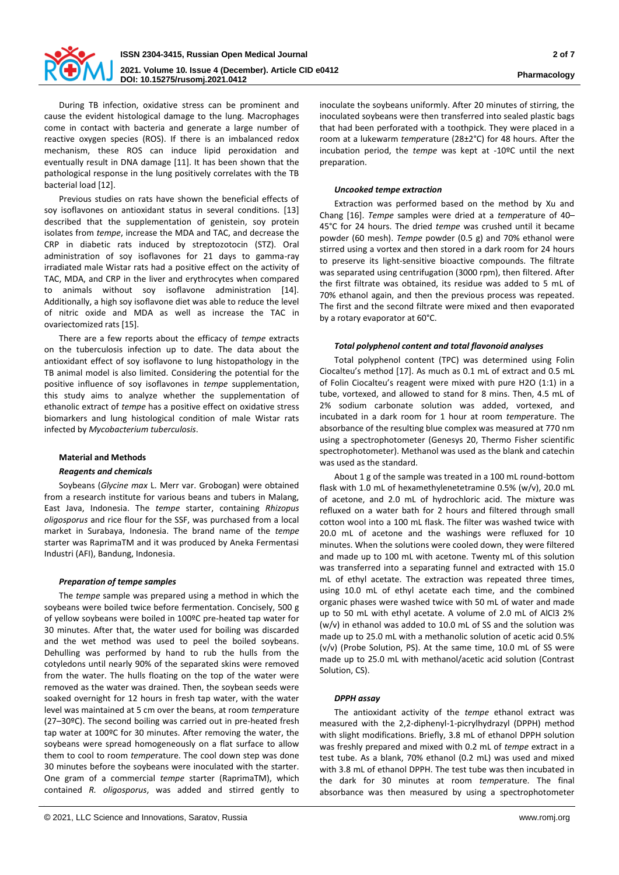

During TB infection, oxidative stress can be prominent and cause the evident histological damage to the lung. Macrophages come in contact with bacteria and generate a large number of reactive oxygen species (ROS). If there is an imbalanced redox mechanism, these ROS can induce lipid peroxidation and eventually result in DNA damage [11]. It has been shown that the pathological response in the lung positively correlates with the TB bacterial load [12].

Previous studies on rats have shown the beneficial effects of soy isoflavones on antioxidant status in several conditions. [13] described that the supplementation of genistein, soy protein isolates from *tempe*, increase the MDA and TAC, and decrease the CRP in diabetic rats induced by streptozotocin (STZ). Oral administration of soy isoflavones for 21 days to gamma-ray irradiated male Wistar rats had a positive effect on the activity of TAC, MDA, and CRP in the liver and erythrocytes when compared to animals without soy isoflavone administration [14]. Additionally, a high soy isoflavone diet was able to reduce the level of nitric oxide and MDA as well as increase the TAC in ovariectomized rats [15].

There are a few reports about the efficacy of *tempe* extracts on the tuberculosis infection up to date. The data about the antioxidant effect of soy isoflavone to lung histopathology in the TB animal model is also limited. Considering the potential for the positive influence of soy isoflavones in *tempe* supplementation, this study aims to analyze whether the supplementation of ethanolic extract of *tempe* has a positive effect on oxidative stress biomarkers and lung histological condition of male Wistar rats infected by *Mycobacterium tuberculosis*.

## **Material and Methods**

# *Reagents and chemicals*

Soybeans (*Glycine max* L. Merr var. Grobogan) were obtained from a research institute for various beans and tubers in Malang, East Java, Indonesia. The *tempe* starter, containing *Rhizopus oligosporus* and rice flour for the SSF, was purchased from a local market in Surabaya, Indonesia. The brand name of the *tempe* starter was RaprimaTM and it was produced by Aneka Fermentasi Industri (AFI), Bandung, Indonesia.

## *Preparation of tempe samples*

The *tempe* sample was prepared using a method in which the soybeans were boiled twice before fermentation. Concisely, 500 g of yellow soybeans were boiled in 100ºC pre-heated tap water for 30 minutes. After that, the water used for boiling was discarded and the wet method was used to peel the boiled soybeans. Dehulling was performed by hand to rub the hulls from the cotyledons until nearly 90% of the separated skins were removed from the water. The hulls floating on the top of the water were removed as the water was drained. Then, the soybean seeds were soaked overnight for 12 hours in fresh tap water, with the water level was maintained at 5 cm over the beans, at room *tempe*rature (27–30ºC). The second boiling was carried out in pre-heated fresh tap water at 100ºC for 30 minutes. After removing the water, the soybeans were spread homogeneously on a flat surface to allow them to cool to room *tempe*rature. The cool down step was done 30 minutes before the soybeans were inoculated with the starter. One gram of a commercial *tempe* starter (RaprimaTM), which contained *R. oligosporus*, was added and stirred gently to

inoculate the soybeans uniformly. After 20 minutes of stirring, the inoculated soybeans were then transferred into sealed plastic bags that had been perforated with a toothpick. They were placed in a room at a lukewarm *tempe*rature (28±2°C) for 48 hours. After the incubation period, the *tempe* was kept at -10ºC until the next preparation.

# *Uncooked tempe extraction*

Extraction was performed based on the method by Xu and Chang [16]. *Tempe* samples were dried at a *tempe*rature of 40– 45°C for 24 hours. The dried *tempe* was crushed until it became powder (60 mesh). *Tempe* powder (0.5 g) and 70% ethanol were stirred using a vortex and then stored in a dark room for 24 hours to preserve its light-sensitive bioactive compounds. The filtrate was separated using centrifugation (3000 rpm), then filtered. After the first filtrate was obtained, its residue was added to 5 mL of 70% ethanol again, and then the previous process was repeated. The first and the second filtrate were mixed and then evaporated by a rotary evaporator at 60°C.

# *Total polyphenol content and total flavonoid analyses*

Total polyphenol content (TPC) was determined using Folin Ciocalteu's method [17]. As much as 0.1 mL of extract and 0.5 mL of Folin Ciocalteu's reagent were mixed with pure H2O (1:1) in a tube, vortexed, and allowed to stand for 8 mins. Then, 4.5 mL of 2% sodium carbonate solution was added, vortexed, and incubated in a dark room for 1 hour at room *tempe*rature. The absorbance of the resulting blue complex was measured at 770 nm using a spectrophotometer (Genesys 20, Thermo Fisher scientific spectrophotometer). Methanol was used as the blank and catechin was used as the standard.

About 1 g of the sample was treated in a 100 mL round-bottom flask with 1.0 mL of hexamethylenetetramine 0.5% (w/v), 20.0 mL of acetone, and 2.0 mL of hydrochloric acid. The mixture was refluxed on a water bath for 2 hours and filtered through small cotton wool into a 100 mL flask. The filter was washed twice with 20.0 mL of acetone and the washings were refluxed for 10 minutes. When the solutions were cooled down, they were filtered and made up to 100 mL with acetone. Twenty mL of this solution was transferred into a separating funnel and extracted with 15.0 mL of ethyl acetate. The extraction was repeated three times, using 10.0 mL of ethyl acetate each time, and the combined organic phases were washed twice with 50 mL of water and made up to 50 mL with ethyl acetate. A volume of 2.0 mL of AlCl3 2% (w/v) in ethanol was added to 10.0 mL of SS and the solution was made up to 25.0 mL with a methanolic solution of acetic acid 0.5% (v/v) (Probe Solution, PS). At the same time, 10.0 mL of SS were made up to 25.0 mL with methanol/acetic acid solution (Contrast Solution, CS).

# *DPPH assay*

The antioxidant activity of the *tempe* ethanol extract was measured with the 2,2-diphenyl-1-picrylhydrazyl (DPPH) method with slight modifications. Briefly, 3.8 mL of ethanol DPPH solution was freshly prepared and mixed with 0.2 mL of *tempe* extract in a test tube. As a blank, 70% ethanol (0.2 mL) was used and mixed with 3.8 mL of ethanol DPPH. The test tube was then incubated in the dark for 30 minutes at room *tempe*rature. The final absorbance was then measured by using a spectrophotometer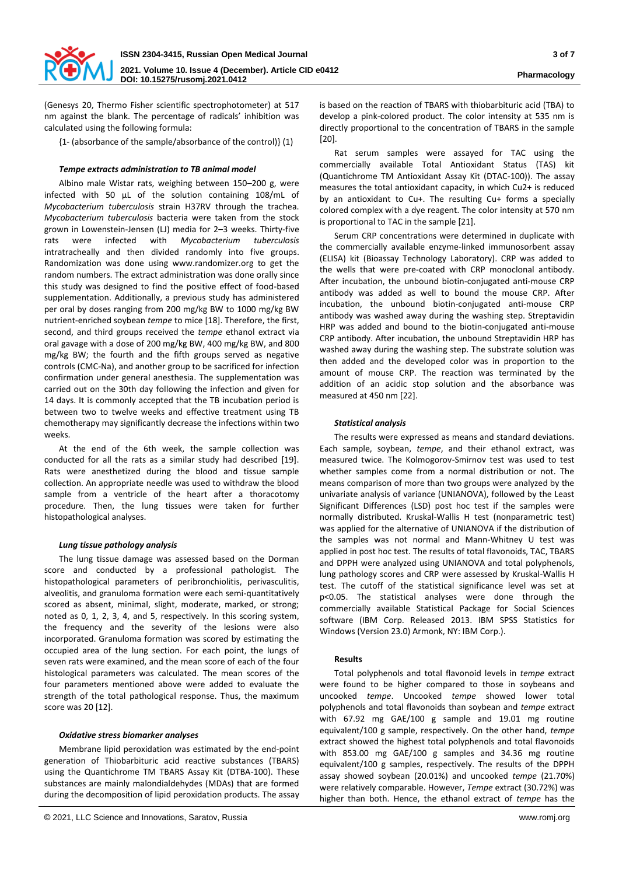

(Genesys 20, Thermo Fisher scientific spectrophotometer) at 517 nm against the blank. The percentage of radicals' inhibition was calculated using the following formula:

{1- (absorbance of the sample/absorbance of the control)} (1)

# *Tempe extracts administration to TB animal model*

Albino male Wistar rats, weighing between 150–200 g, were infected with 50 µL of the solution containing 108/mL of *Mycobacterium tuberculosis* strain H37RV through the trachea. *Mycobacterium tuberculosis* bacteria were taken from the stock grown in Lowenstein-Jensen (LJ) media for 2–3 weeks. Thirty-five rats were infected with *Mycobacterium tuberculosis* intratracheally and then divided randomly into five groups. Randomization was done using www.randomizer.org to get the random numbers. The extract administration was done orally since this study was designed to find the positive effect of food-based supplementation. Additionally, a previous study has administered per oral by doses ranging from 200 mg/kg BW to 1000 mg/kg BW nutrient-enriched soybean *tempe* to mice [18]. Therefore, the first, second, and third groups received the *tempe* ethanol extract via oral gavage with a dose of 200 mg/kg BW, 400 mg/kg BW, and 800 mg/kg BW; the fourth and the fifth groups served as negative controls (CMC-Na), and another group to be sacrificed for infection confirmation under general anesthesia. The supplementation was carried out on the 30th day following the infection and given for 14 days. It is commonly accepted that the TB incubation period is between two to twelve weeks and effective treatment using TB chemotherapy may significantly decrease the infections within two weeks.

At the end of the 6th week, the sample collection was conducted for all the rats as a similar study had described [19]. Rats were anesthetized during the blood and tissue sample collection. An appropriate needle was used to withdraw the blood sample from a ventricle of the heart after a thoracotomy procedure. Then, the lung tissues were taken for further histopathological analyses.

## *Lung tissue pathology analysis*

The lung tissue damage was assessed based on the Dorman score and conducted by a professional pathologist. The histopathological parameters of peribronchiolitis, perivasculitis, alveolitis, and granuloma formation were each semi-quantitatively scored as absent, minimal, slight, moderate, marked, or strong; noted as 0, 1, 2, 3, 4, and 5, respectively. In this scoring system, the frequency and the severity of the lesions were also incorporated. Granuloma formation was scored by estimating the occupied area of the lung section. For each point, the lungs of seven rats were examined, and the mean score of each of the four histological parameters was calculated. The mean scores of the four parameters mentioned above were added to evaluate the strength of the total pathological response. Thus, the maximum score was 20 [12].

## *Oxidative stress biomarker analyses*

Membrane lipid peroxidation was estimated by the end-point generation of Thiobarbituric acid reactive substances (TBARS) using the Quantichrome TM TBARS Assay Kit (DTBA-100). These substances are mainly malondialdehydes (MDAs) that are formed during the decomposition of lipid peroxidation products. The assay is based on the reaction of TBARS with thiobarbituric acid (TBA) to develop a pink-colored product. The color intensity at 535 nm is directly proportional to the concentration of TBARS in the sample [20].

Rat serum samples were assayed for TAC using the commercially available Total Antioxidant Status (TAS) kit (Quantichrome TM Antioxidant Assay Kit (DTAC-100)). The assay measures the total antioxidant capacity, in which Cu2+ is reduced by an antioxidant to Cu+. The resulting Cu+ forms a specially colored complex with a dye reagent. The color intensity at 570 nm is proportional to TAC in the sample [21].

Serum CRP concentrations were determined in duplicate with the commercially available enzyme-linked immunosorbent assay (ELISA) kit (Bioassay Technology Laboratory). CRP was added to the wells that were pre-coated with CRP monoclonal antibody. After incubation, the unbound biotin-conjugated anti-mouse CRP antibody was added as well to bound the mouse CRP. After incubation, the unbound biotin-conjugated anti-mouse CRP antibody was washed away during the washing step. Streptavidin HRP was added and bound to the biotin-conjugated anti-mouse CRP antibody. After incubation, the unbound Streptavidin HRP has washed away during the washing step. The substrate solution was then added and the developed color was in proportion to the amount of mouse CRP. The reaction was terminated by the addition of an acidic stop solution and the absorbance was measured at 450 nm [22].

# *Statistical analysis*

The results were expressed as means and standard deviations. Each sample, soybean, *tempe*, and their ethanol extract, was measured twice. The Kolmogorov-Smirnov test was used to test whether samples come from a normal distribution or not. The means comparison of more than two groups were analyzed by the univariate analysis of variance (UNIANOVA), followed by the Least Significant Differences (LSD) post hoc test if the samples were normally distributed. Kruskal-Wallis H test (nonparametric test) was applied for the alternative of UNIANOVA if the distribution of the samples was not normal and Mann-Whitney U test was applied in post hoc test. The results of total flavonoids, TAC, TBARS and DPPH were analyzed using UNIANOVA and total polyphenols, lung pathology scores and CRP were assessed by Kruskal-Wallis H test. The cutoff of the statistical significance level was set at p<0.05. The statistical analyses were done through the commercially available Statistical Package for Social Sciences software (IBM Corp. Released 2013. IBM SPSS Statistics for Windows (Version 23.0) Armonk, NY: IBM Corp.).

## **Results**

Total polyphenols and total flavonoid levels in *tempe* extract were found to be higher compared to those in soybeans and uncooked *tempe*. Uncooked *tempe* showed lower total polyphenols and total flavonoids than soybean and *tempe* extract with 67.92 mg GAE/100 g sample and 19.01 mg routine equivalent/100 g sample, respectively. On the other hand, *tempe* extract showed the highest total polyphenols and total flavonoids with 853.00 mg GAE/100 g samples and 34.36 mg routine equivalent/100 g samples, respectively. The results of the DPPH assay showed soybean (20.01%) and uncooked *tempe* (21.70%) were relatively comparable. However, *Tempe* extract (30.72%) was higher than both. Hence, the ethanol extract of *tempe* has the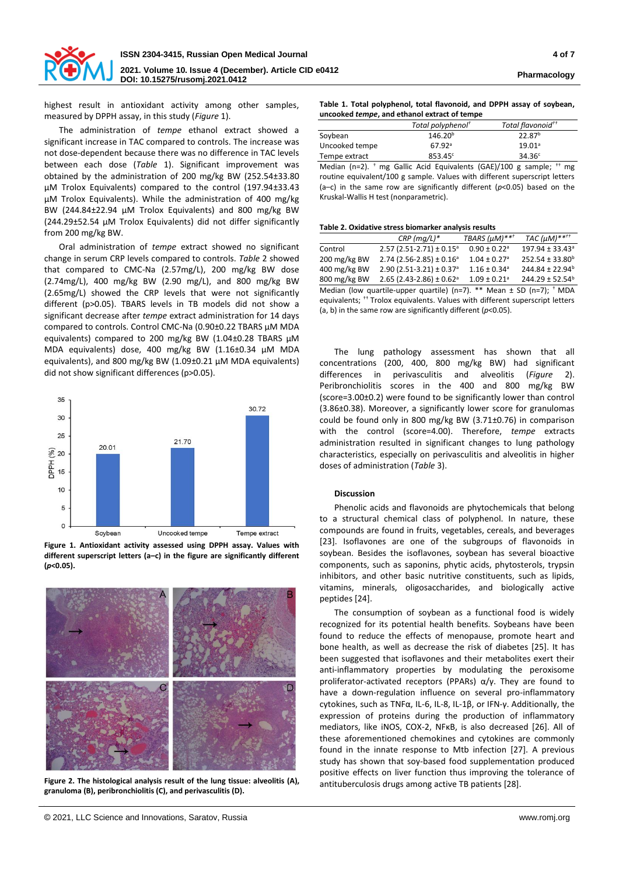

highest result in antioxidant activity among other samples, measured by DPPH assay, in this study (*Figure* 1).

The administration of *tempe* ethanol extract showed a significant increase in TAC compared to controls. The increase was not dose-dependent because there was no difference in TAC levels between each dose (*Table* 1). Significant improvement was obtained by the administration of 200 mg/kg BW (252.54±33.80 µM Trolox Equivalents) compared to the control (197.94±33.43 µM Trolox Equivalents). While the administration of 400 mg/kg BW (244.84±22.94 µM Trolox Equivalents) and 800 mg/kg BW (244.29±52.54 µM Trolox Equivalents) did not differ significantly from 200 mg/kg BW.

Oral administration of *tempe* extract showed no significant change in serum CRP levels compared to controls. *Table* 2 showed that compared to CMC-Na (2.57mg/L), 200 mg/kg BW dose (2.74mg/L), 400 mg/kg BW (2.90 mg/L), and 800 mg/kg BW (2.65mg/L) showed the CRP levels that were not significantly different (p>0.05). TBARS levels in TB models did not show a significant decrease after *tempe* extract administration for 14 days compared to controls. Control CMC-Na (0.90±0.22 TBARS µM MDA equivalents) compared to 200 mg/kg BW (1.04±0.28 TBARS µM MDA equivalents) dose, 400 mg/kg BW (1.16±0.34 µM MDA equivalents), and 800 mg/kg BW (1.09±0.21 µM MDA equivalents) did not show significant differences (p>0.05).



**Figure 1. Antioxidant activity assessed using DPPH assay. Values with different superscript letters (a–c) in the figure are significantly different (***p***<0.05).**



**Figure 2. The histological analysis result of the lung tissue: alveolitis (A), granuloma (B), peribronchiolitis (C), and perivasculitis (D).**

**Table 1. Total polyphenol, total flavonoid, and DPPH assay of soybean, uncooked** *tempe***, and ethanol extract of tempe**

|                | Total polyphenol <sup>†</sup> | Total flavonoid <sup>++</sup>                                                       |
|----------------|-------------------------------|-------------------------------------------------------------------------------------|
| Soybean        | 146.20 <sup>b</sup>           | 22.87 <sup>b</sup>                                                                  |
| Uncooked tempe | $67.92$ <sup>a</sup>          | $19.01^a$                                                                           |
| Tempe extract  | 853.45c                       | $34.36^{\circ}$                                                                     |
|                |                               | Median (n=2). $\dagger$ mg Gallic Acid Equivalents (GAE)/100 g sample; $\dagger$ mg |

routine equivalent/100 g sample. Values with different superscript letters (a–c) in the same row are significantly different (*p*<0.05) based on the Kruskal-Wallis H test (nonparametric).

#### **Table 2. Oxidative stress biomarker analysis results**

|                                                                                          | $CRP$ (mq/L)*                           | TBARS (µM)** <sup>†</sup>    | TAC $(\mu M)$ ****          |  |  |  |
|------------------------------------------------------------------------------------------|-----------------------------------------|------------------------------|-----------------------------|--|--|--|
| Control                                                                                  | $2.57$ (2.51-2.71) ± 0.15 <sup>a</sup>  | $0.90 \pm 0.22$ <sup>a</sup> | 197.94 ± 33.43 <sup>a</sup> |  |  |  |
| 200 mg/kg BW                                                                             | $2.74$ (2.56-2.85) ± 0.16 <sup>a</sup>  | $1.04 \pm 0.27$ <sup>a</sup> | 252.54 ± 33.80 <sup>b</sup> |  |  |  |
| 400 mg/kg BW                                                                             | $2.90(2.51-3.21) \pm 0.37$ <sup>a</sup> | $1.16 \pm 0.34$ <sup>a</sup> | 244.84 ± 22.94 <sup>b</sup> |  |  |  |
| 800 mg/kg BW                                                                             | $2.65$ (2.43-2.86) ± 0.62 <sup>a</sup>  | $1.09 \pm 0.21$ <sup>a</sup> | 244.29 ± 52.54 <sup>b</sup> |  |  |  |
| Median (low quartile-upper quartile) (n=7). ** Mean $\pm$ SD (n=7); <sup>+</sup> MDA     |                                         |                              |                             |  |  |  |
| equivalents; <sup>++</sup> Trolox equivalents. Values with different superscript letters |                                         |                              |                             |  |  |  |
| (a, b) in the same row are significantly different ( $p$ <0.05).                         |                                         |                              |                             |  |  |  |

The lung pathology assessment has shown that all concentrations (200, 400, 800 mg/kg BW) had significant differences in perivasculitis and alveolitis (*Figure* 2). Peribronchiolitis scores in the 400 and 800 mg/kg BW (score=3.00±0.2) were found to be significantly lower than control (3.86±0.38). Moreover, a significantly lower score for granulomas could be found only in 800 mg/kg BW (3.71±0.76) in comparison with the control (score=4.00). Therefore, *tempe* extracts administration resulted in significant changes to lung pathology characteristics, especially on perivasculitis and alveolitis in higher doses of administration (*Table* 3).

# **Discussion**

Phenolic acids and flavonoids are phytochemicals that belong to a structural chemical class of polyphenol. In nature, these compounds are found in fruits, vegetables, cereals, and beverages [23]. Isoflavones are one of the subgroups of flavonoids in soybean. Besides the isoflavones, soybean has several bioactive components, such as saponins, phytic acids, phytosterols, trypsin inhibitors, and other basic nutritive constituents, such as lipids, vitamins, minerals, oligosaccharides, and biologically active peptides [24].

The consumption of soybean as a functional food is widely recognized for its potential health benefits. Soybeans have been found to reduce the effects of menopause, promote heart and bone health, as well as decrease the risk of diabetes [25]. It has been suggested that isoflavones and their metabolites exert their anti-inflammatory properties by modulating the peroxisome proliferator-activated receptors (PPARs) α/γ. They are found to have a down-regulation influence on several pro-inflammatory cytokines, such as TNFα, IL-6, IL-8, IL-1β, or IFN-γ. Additionally, the expression of proteins during the production of inflammatory mediators, like iNOS, COX-2, NFκB, is also decreased [26]. All of these aforementioned chemokines and cytokines are commonly found in the innate response to Mtb infection [27]. A previous study has shown that soy-based food supplementation produced positive effects on liver function thus improving the tolerance of antituberculosis drugs among active TB patients [28].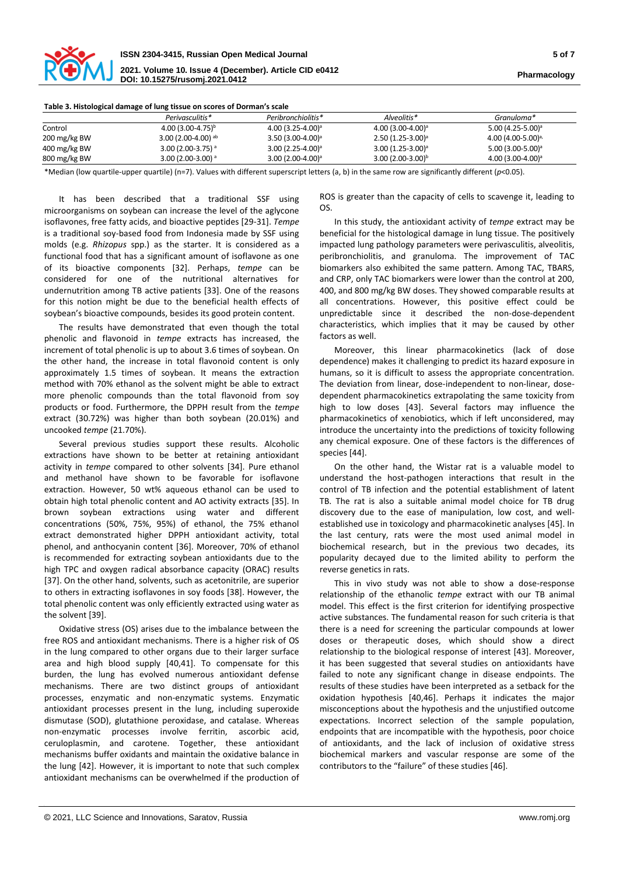

**2021. Volume 10. Issue 4 (December). Article CID e0412 DOI: 10.15275/rusomj.2021.0412 Pharmacology**

| Table 3. Histological damage of lung tissue on scores of Dorman's scale |                                  |                     |                       |                               |  |
|-------------------------------------------------------------------------|----------------------------------|---------------------|-----------------------|-------------------------------|--|
|                                                                         | Perivasculitis*                  | Peribronchiolitis*  | Alveolitis*           | Granuloma*                    |  |
| Control                                                                 | 4.00 $(3.00 - 4.75)^{b}$         | $4.00(3.25-4.00)^a$ | $4.00(3.00-4.00)^a$   | 5.00 $(4.25 - 5.00)^a$        |  |
| 200 mg/kg BW                                                            | 3.00 $(2.00-4.00)$ <sup>ab</sup> | $3.50(3.00-4.00)^a$ | $2.50(1.25-3.00)^a$   | 4.00 $(4.00-5.00)^{a}$        |  |
| 400 mg/kg BW                                                            | 3.00 (2.00-3.75) a               | $3.00(2.25-4.00)^a$ | $3.00(1.25-3.00)^a$   | $5.00(3.00-5.00)^a$           |  |
| 800 mg/kg BW                                                            | 3.00 (2.00-3.00) a               | $3.00(2.00-4.00)^a$ | $3.00(2.00-3.00)^{b}$ | 4.00 (3.00-4.00) <sup>a</sup> |  |

\*Median (low quartile-upper quartile) (n=7). Values with different superscript letters (a, b) in the same row are significantly different (*p*<0.05).

It has been described that a traditional SSF using microorganisms on soybean can increase the level of the aglycone isoflavones, free fatty acids, and bioactive peptides [29-31]. *Tempe* is a traditional soy-based food from Indonesia made by SSF using molds (e.g. *Rhizopus* spp.) as the starter. It is considered as a functional food that has a significant amount of isoflavone as one of its bioactive components [32]. Perhaps, *tempe* can be considered for one of the nutritional alternatives for undernutrition among TB active patients [33]. One of the reasons for this notion might be due to the beneficial health effects of soybean's bioactive compounds, besides its good protein content.

The results have demonstrated that even though the total phenolic and flavonoid in *tempe* extracts has increased, the increment of total phenolic is up to about 3.6 times of soybean. On the other hand, the increase in total flavonoid content is only approximately 1.5 times of soybean. It means the extraction method with 70% ethanol as the solvent might be able to extract more phenolic compounds than the total flavonoid from soy products or food. Furthermore, the DPPH result from the *tempe* extract (30.72%) was higher than both soybean (20.01%) and uncooked *tempe* (21.70%).

Several previous studies support these results. Alcoholic extractions have shown to be better at retaining antioxidant activity in *tempe* compared to other solvents [34]. Pure ethanol and methanol have shown to be favorable for isoflavone extraction. However, 50 wt% aqueous ethanol can be used to obtain high total phenolic content and AO activity extracts [35]. In brown soybean extractions using water and different concentrations (50%, 75%, 95%) of ethanol, the 75% ethanol extract demonstrated higher DPPH antioxidant activity, total phenol, and anthocyanin content [36]. Moreover, 70% of ethanol is recommended for extracting soybean antioxidants due to the high TPC and oxygen radical absorbance capacity (ORAC) results [37]. On the other hand, solvents, such as acetonitrile, are superior to others in extracting isoflavones in soy foods [38]. However, the total phenolic content was only efficiently extracted using water as the solvent [39].

Oxidative stress (OS) arises due to the imbalance between the free ROS and antioxidant mechanisms. There is a higher risk of OS in the lung compared to other organs due to their larger surface area and high blood supply [40,41]. To compensate for this burden, the lung has evolved numerous antioxidant defense mechanisms. There are two distinct groups of antioxidant processes, enzymatic and non-enzymatic systems. Enzymatic antioxidant processes present in the lung, including superoxide dismutase (SOD), glutathione peroxidase, and catalase. Whereas non-enzymatic processes involve ferritin, ascorbic acid, ceruloplasmin, and carotene. Together, these antioxidant mechanisms buffer oxidants and maintain the oxidative balance in the lung [42]. However, it is important to note that such complex antioxidant mechanisms can be overwhelmed if the production of

ROS is greater than the capacity of cells to scavenge it, leading to OS.

In this study, the antioxidant activity of *tempe* extract may be beneficial for the histological damage in lung tissue. The positively impacted lung pathology parameters were perivasculitis, alveolitis, peribronchiolitis, and granuloma. The improvement of TAC biomarkers also exhibited the same pattern. Among TAC, TBARS, and CRP, only TAC biomarkers were lower than the control at 200, 400, and 800 mg/kg BW doses. They showed comparable results at all concentrations. However, this positive effect could be unpredictable since it described the non-dose-dependent characteristics, which implies that it may be caused by other factors as well.

Moreover, this linear pharmacokinetics (lack of dose dependence) makes it challenging to predict its hazard exposure in humans, so it is difficult to assess the appropriate concentration. The deviation from linear, dose-independent to non-linear, dosedependent pharmacokinetics extrapolating the same toxicity from high to low doses [43]. Several factors may influence the pharmacokinetics of xenobiotics, which if left unconsidered, may introduce the uncertainty into the predictions of toxicity following any chemical exposure. One of these factors is the differences of species [44].

On the other hand, the Wistar rat is a valuable model to understand the host-pathogen interactions that result in the control of TB infection and the potential establishment of latent TB. The rat is also a suitable animal model choice for TB drug discovery due to the ease of manipulation, low cost, and wellestablished use in toxicology and pharmacokinetic analyses [45]. In the last century, rats were the most used animal model in biochemical research, but in the previous two decades, its popularity decayed due to the limited ability to perform the reverse genetics in rats.

This in vivo study was not able to show a dose-response relationship of the ethanolic *tempe* extract with our TB animal model. This effect is the first criterion for identifying prospective active substances. The fundamental reason for such criteria is that there is a need for screening the particular compounds at lower doses or therapeutic doses, which should show a direct relationship to the biological response of interest [43]. Moreover, it has been suggested that several studies on antioxidants have failed to note any significant change in disease endpoints. The results of these studies have been interpreted as a setback for the oxidation hypothesis [40,46]. Perhaps it indicates the major misconceptions about the hypothesis and the unjustified outcome expectations. Incorrect selection of the sample population, endpoints that are incompatible with the hypothesis, poor choice of antioxidants, and the lack of inclusion of oxidative stress biochemical markers and vascular response are some of the contributors to the "failure" of these studies [46].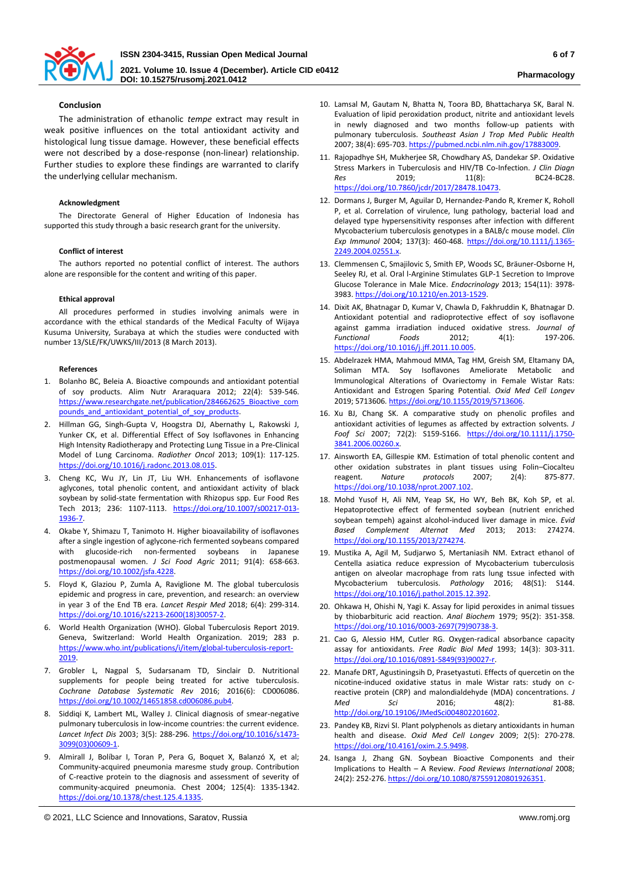

# **Conclusion**

The administration of ethanolic *tempe* extract may result in weak positive influences on the total antioxidant activity and histological lung tissue damage. However, these beneficial effects were not described by a dose-response (non-linear) relationship. Further studies to explore these findings are warranted to clarify the underlying cellular mechanism.

#### **Acknowledgment**

The Directorate General of Higher Education of Indonesia has supported this study through a basic research grant for the university.

#### **Conflict of interest**

The authors reported no potential conflict of interest. The authors alone are responsible for the content and writing of this paper.

#### **Ethical approval**

All procedures performed in studies involving animals were in accordance with the ethical standards of the Medical Faculty of Wijaya Kusuma University, Surabaya at which the studies were conducted with number 13/SLE/FK/UWKS/III/2013 (8 March 2013).

#### **References**

- 1. Bolanho BC, Beleia A. Bioactive compounds and antioxidant potential of soy products. Alim Nutr Araraquara 2012; 22(4): 539-546. [https://www.researchgate.net/publication/284662625\\_Bioactive\\_com](https://www.researchgate.net/publication/284662625_Bioactive_compounds_and_antioxidant_potential_of_soy_products) pounds and antioxidant potential of soy products.
- 2. Hillman GG, Singh-Gupta V, Hoogstra DJ, Abernathy L, Rakowski J, Yunker CK, et al. Differential Effect of Soy Isoflavones in Enhancing High Intensity Radiotherapy and Protecting Lung Tissue in a Pre-Clinical Model of Lung Carcinoma. *Radiother Oncol* 2013; 109(1): 117-125. [https://doi.org/10.1016/j.radonc.2013.08.015.](https://doi.org/10.1016/j.radonc.2013.08.015)
- 3. Cheng KC, Wu JY, Lin JT, Liu WH. Enhancements of isoflavone aglycones, total phenolic content, and antioxidant activity of black soybean by solid-state fermentation with Rhizopus spp. Eur Food Res Tech 2013; 236: 1107-1113. [https://doi.org/10.1007/s00217-013-](https://doi.org/10.1007/s00217-013-1936-7) [1936-7.](https://doi.org/10.1007/s00217-013-1936-7)
- 4. Okabe Y, Shimazu T, Tanimoto H. Higher bioavailability of isoflavones after a single ingestion of aglycone-rich fermented soybeans compared with glucoside-rich non-fermented soybeans in Japanese postmenopausal women. *J Sci Food Agric* 2011; 91(4): 658-663. [https://doi.org/10.1002/jsfa.4228.](https://doi.org/10.1002/jsfa.4228)
- 5. Floyd K, Glaziou P, Zumla A, Raviglione M. The global tuberculosis epidemic and progress in care, prevention, and research: an overview in year 3 of the End TB era. *Lancet Respir Med* 2018; 6(4): 299-314. [https://doi.org/10.1016/s2213-2600\(18\)30057-2.](https://doi.org/10.1016/s2213-2600(18)30057-2)
- 6. World Health Organization (WHO). Global Tuberculosis Report 2019. Geneva, Switzerland: World Health Organization. 2019; 283 p. [https://www.who.int/publications/i/item/global-tuberculosis-report-](https://www.who.int/publications/i/item/global-tuberculosis-report-2019)[2019.](https://www.who.int/publications/i/item/global-tuberculosis-report-2019)
- 7. Grobler L, Nagpal S, Sudarsanam TD, Sinclair D. Nutritional supplements for people being treated for active tuberculosis. *Cochrane Database Systematic Rev* 2016; 2016(6): CD006086. [https://doi.org/10.1002/14651858.cd006086.pub4.](https://doi.org/10.1002/14651858.cd006086.pub4)
- 8. Siddiqi K, Lambert ML, Walley J. Clinical diagnosis of smear-negative pulmonary tuberculosis in low-income countries: the current evidence. *Lancet Infect Dis* 2003; 3(5): 288-296. [https://doi.org/10.1016/s1473-](https://doi.org/10.1016/s1473-3099(03)00609-1) [3099\(03\)00609-1.](https://doi.org/10.1016/s1473-3099(03)00609-1)
- 9. Almirall J, Bolíbar I, Toran P, Pera G, Boquet X, Balanzó X, et al; Community-acquired pneumonia maresme study group. Contribution of C-reactive protein to the diagnosis and assessment of severity of community-acquired pneumonia. Chest 2004; 125(4): 1335-1342. [https://doi.org/10.1378/chest.125.4.1335.](https://doi.org/10.1378/chest.125.4.1335)
- 10. Lamsal M, Gautam N, Bhatta N, Toora BD, Bhattacharya SK, Baral N. Evaluation of lipid peroxidation product, nitrite and antioxidant levels in newly diagnosed and two months follow-up patients with pulmonary tuberculosis. *Southeast Asian J Trop Med Public Health*  2007; 38(4): 695-703. [https://pubmed.ncbi.nlm.nih.gov/17883009.](https://pubmed.ncbi.nlm.nih.gov/17883009)
- 11. Rajopadhye SH, Mukherjee SR, Chowdhary AS, Dandekar SP. Oxidative Stress Markers in Tuberculosis and HIV/TB Co-Infection. *J Clin Diagn Res* 2019; 11(8): BC24-BC28. [https://doi.org/10.7860/jcdr/2017/28478.10473.](https://doi.org/10.7860/jcdr/2017/28478.10473)
- 12. Dormans J, Burger M, Aguilar D, Hernandez-Pando R, Kremer K, Roholl P, et al. Correlation of virulence, lung pathology, bacterial load and delayed type hypersensitivity responses after infection with different Mycobacterium tuberculosis genotypes in a BALB/c mouse model. *Clin Exp Immunol* 2004; 137(3): 460-468. [https://doi.org/10.1111/j.1365-](https://doi.org/10.1111/j.1365-2249.2004.02551.x) [2249.2004.02551.x.](https://doi.org/10.1111/j.1365-2249.2004.02551.x)
- 13. Clemmensen C, Smajilovic S, Smith EP, Woods SC, Bräuner-Osborne H, Seeley RJ, et al. Oral l-Arginine Stimulates GLP-1 Secretion to Improve Glucose Tolerance in Male Mice. *Endocrinology* 2013; 154(11): 3978- 3983[. https://doi.org/10.1210/en.2013-1529.](https://doi.org/10.1210/en.2013-1529)
- 14. Dixit AK, Bhatnagar D, Kumar V, Chawla D, Fakhruddin K, Bhatnagar D. Antioxidant potential and radioprotective effect of soy isoflavone against gamma irradiation induced oxidative stress. *Journal of Functional Foods* 2012; 4(1): 197-206. [https://doi.org/10.1016/j.jff.2011.10.005.](https://doi.org/10.1016/j.jff.2011.10.005)
- 15. Abdelrazek HMA, Mahmoud MMA, Tag HM, Greish SM, Eltamany DA, Soliman MTA. Soy Isoflavones Ameliorate Metabolic and Immunological Alterations of Ovariectomy in Female Wistar Rats: Antioxidant and Estrogen Sparing Potential. *Oxid Med Cell Longev* 2019; 5713606[. https://doi.org/10.1155/2019/5713606.](https://doi.org/10.1155/2019/5713606)
- 16. Xu BJ, Chang SK. A comparative study on phenolic profiles and antioxidant activities of legumes as affected by extraction solvents*. J Foof Sci* 2007; 72(2): S159-S166. [https://doi.org/10.1111/j.1750-](https://doi.org/10.1111/j.1750-3841.2006.00260.x) [3841.2006.00260.x.](https://doi.org/10.1111/j.1750-3841.2006.00260.x)
- 17. Ainsworth EA, Gillespie KM. Estimation of total phenolic content and other oxidation substrates in plant tissues using Folin–Ciocalteu reagent. *Nature protocols* 2007; 2(4): 875-877. [https://doi.org/10.1038/nprot.2007.102.](https://doi.org/10.1038/nprot.2007.102)
- 18. Mohd Yusof H, Ali NM, Yeap SK, Ho WY, Beh BK, Koh SP, et al. Hepatoprotective effect of fermented soybean (nutrient enriched soybean tempeh) against alcohol-induced liver damage in mice. *Evid Based Complement Alternat Med* 2013; 2013: 274274. [https://doi.org/10.1155/2013/274274.](https://doi.org/10.1155/2013/274274)
- 19. Mustika A, Agil M, Sudjarwo S, Mertaniasih NM. Extract ethanol of Centella asiatica reduce expression of Mycobacterium tuberculosis antigen on alveolar macrophage from rats lung tssue infected with Mycobacterium tuberculosis. *Pathology* 2016; 48(S1): S144. [https://doi.org/10.1016/j.pathol.2015.12.392.](https://doi.org/10.1016/j.pathol.2015.12.392)
- 20. Ohkawa H, Ohishi N, Yagi K. Assay for lipid peroxides in animal tissues by thiobarbituric acid reaction. *Anal Biochem* 1979; 95(2): 351-358. [https://doi.org/10.1016/0003-2697\(79\)90738-3.](https://doi.org/10.1016/0003-2697(79)90738-3)
- 21. Cao G, Alessio HM, Cutler RG. Oxygen-radical absorbance capacity assay for antioxidants. *Free Radic Biol Med* 1993; 14(3): 303-311. [https://doi.org/10.1016/0891-5849\(93\)90027-r.](https://doi.org/10.1016/0891-5849(93)90027-r)
- 22. Manafe DRT, Agustiningsih D, Prasetyastuti. Effects of quercetin on the nicotine-induced oxidative status in male Wistar rats: study on creactive protein (CRP) and malondialdehyde (MDA) concentrations. *J Med Sci* 2016; 48(2): 81-88. [http://doi.org/10.19106/JMedSci004802201602.](http://doi.org/10.19106/JMedSci004802201602)
- 23. Pandey KB, Rizvi SI. Plant polyphenols as dietary antioxidants in human health and disease. *Oxid Med Cell Longev* 2009; 2(5): 270-278. [https://doi.org/10.4161/oxim.2.5.9498.](https://doi.org/10.4161/oxim.2.5.9498)
- 24. Isanga J, Zhang GN. Soybean Bioactive Components and their Implications to Health – A Review. *Food Reviews International* 2008; 24(2): 252-276[. https://doi.org/10.1080/87559120801926351.](https://doi.org/10.1080/87559120801926351)